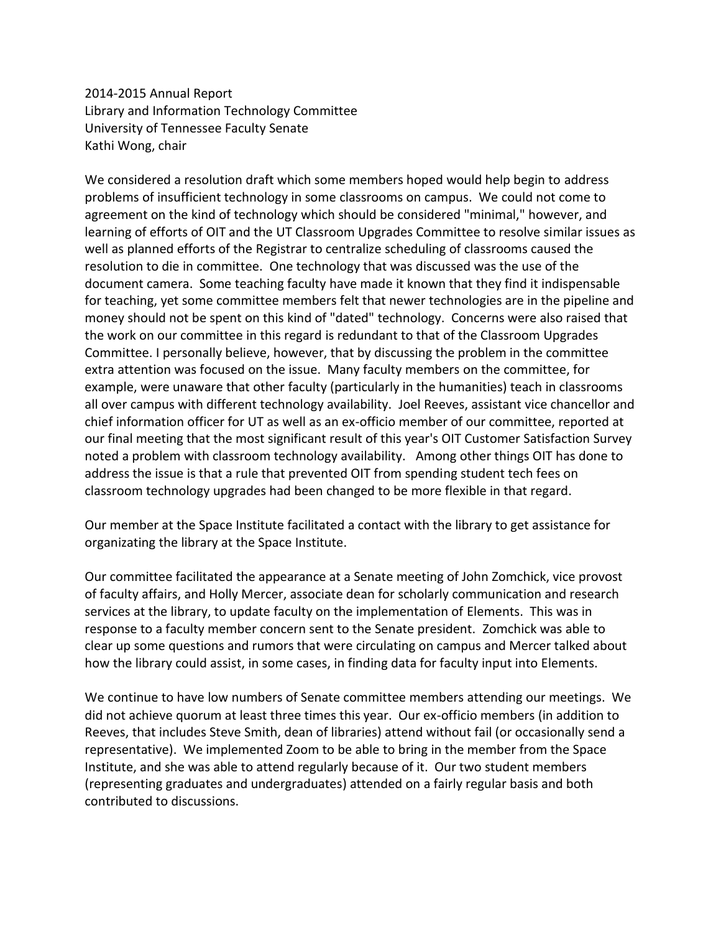2014-2015 Annual Report Library and Information Technology Committee University of Tennessee Faculty Senate Kathi Wong, chair

We considered a resolution draft which some members hoped would help begin to address problems of insufficient technology in some classrooms on campus. We could not come to agreement on the kind of technology which should be considered "minimal," however, and learning of efforts of OIT and the UT Classroom Upgrades Committee to resolve similar issues as well as planned efforts of the Registrar to centralize scheduling of classrooms caused the resolution to die in committee. One technology that was discussed was the use of the document camera. Some teaching faculty have made it known that they find it indispensable for teaching, yet some committee members felt that newer technologies are in the pipeline and money should not be spent on this kind of "dated" technology. Concerns were also raised that the work on our committee in this regard is redundant to that of the Classroom Upgrades Committee. I personally believe, however, that by discussing the problem in the committee extra attention was focused on the issue. Many faculty members on the committee, for example, were unaware that other faculty (particularly in the humanities) teach in classrooms all over campus with different technology availability. Joel Reeves, assistant vice chancellor and chief information officer for UT as well as an ex-officio member of our committee, reported at our final meeting that the most significant result of this year's OIT Customer Satisfaction Survey noted a problem with classroom technology availability. Among other things OIT has done to address the issue is that a rule that prevented OIT from spending student tech fees on classroom technology upgrades had been changed to be more flexible in that regard.

Our member at the Space Institute facilitated a contact with the library to get assistance for organizating the library at the Space Institute.

Our committee facilitated the appearance at a Senate meeting of John Zomchick, vice provost of faculty affairs, and Holly Mercer, associate dean for scholarly communication and research services at the library, to update faculty on the implementation of Elements. This was in response to a faculty member concern sent to the Senate president. Zomchick was able to clear up some questions and rumors that were circulating on campus and Mercer talked about how the library could assist, in some cases, in finding data for faculty input into Elements.

We continue to have low numbers of Senate committee members attending our meetings. We did not achieve quorum at least three times this year. Our ex-officio members (in addition to Reeves, that includes Steve Smith, dean of libraries) attend without fail (or occasionally send a representative). We implemented Zoom to be able to bring in the member from the Space Institute, and she was able to attend regularly because of it. Our two student members (representing graduates and undergraduates) attended on a fairly regular basis and both contributed to discussions.